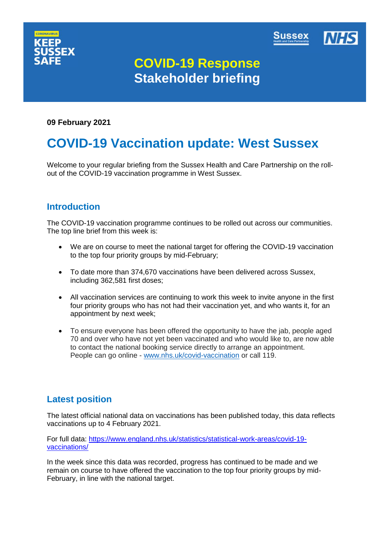



# **COVID-19 Response Stakeholder briefing**

#### **09 February 2021**

# **COVID-19 Vaccination update: West Sussex**

Welcome to your regular briefing from the Sussex Health and Care Partnership on the rollout of the COVID-19 vaccination programme in West Sussex.

### **Introduction**

The COVID-19 vaccination programme continues to be rolled out across our communities. The top line brief from this week is:

- We are on course to meet the national target for offering the COVID-19 vaccination to the top four priority groups by mid-February;
- To date more than 374,670 vaccinations have been delivered across Sussex, including 362,581 first doses;
- All vaccination services are continuing to work this week to invite anyone in the first four priority groups who has not had their vaccination yet, and who wants it, for an appointment by next week;
- To ensure everyone has been offered the opportunity to have the jab, people aged 70 and over who have not yet been vaccinated and who would like to, are now able to contact the national booking service directly to arrange an appointment. People can go online - [www.nhs.uk/covid-vaccination](https://nhs.us1.list-manage.com/track/click?u=67cdbb5ca0543e61649bd4734&id=a02276daa1&e=89726a9e92) or call 119.

## **Latest position**

The latest official national data on vaccinations has been published today, this data reflects vaccinations up to 4 February 2021.

For full data: [https://www.england.nhs.uk/statistics/statistical-work-areas/covid-19](https://www.england.nhs.uk/statistics/statistical-work-areas/covid-19-vaccinations/) [vaccinations/](https://www.england.nhs.uk/statistics/statistical-work-areas/covid-19-vaccinations/)

In the week since this data was recorded, progress has continued to be made and we remain on course to have offered the vaccination to the top four priority groups by mid-February, in line with the national target.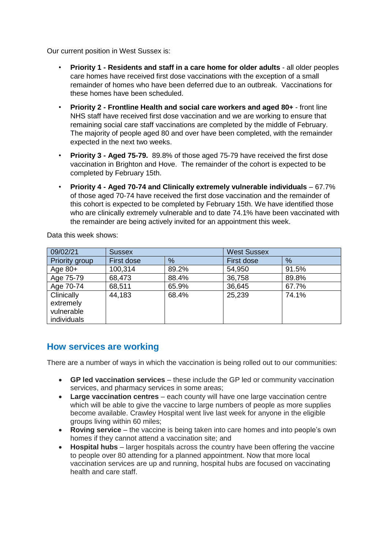Our current position in West Sussex is:

- **Priority 1 - Residents and staff in a care home for older adults** all older peoples care homes have received first dose vaccinations with the exception of a small remainder of homes who have been deferred due to an outbreak. Vaccinations for these homes have been scheduled.
- **Priority 2 - Frontline Health and social care workers and aged 80+**  front line NHS staff have received first dose vaccination and we are working to ensure that remaining social care staff vaccinations are completed by the middle of February. The majority of people aged 80 and over have been completed, with the remainder expected in the next two weeks.
- **Priority 3 - Aged 75-79.** 89.8% of those aged 75-79 have received the first dose vaccination in Brighton and Hove. The remainder of the cohort is expected to be completed by February 15th.
- **Priority 4 - Aged 70-74 and Clinically extremely vulnerable individuals** 67.7% of those aged 70-74 have received the first dose vaccination and the remainder of this cohort is expected to be completed by February 15th. We have identified those who are clinically extremely vulnerable and to date 74.1% have been vaccinated with the remainder are being actively invited for an appointment this week.

| 09/02/21                | <b>Sussex</b> |       | <b>West Sussex</b> |       |
|-------------------------|---------------|-------|--------------------|-------|
| Priority group          | First dose    | $\%$  | First dose         | %     |
| Age $80+$               | 100,314       | 89.2% | 54,950             | 91.5% |
| Age 75-79               | 68,473        | 88.4% | 36,758             | 89.8% |
| Age 70-74               | 68,511        | 65.9% | 36,645             | 67.7% |
| Clinically<br>extremely | 44,183        | 68.4% | 25,239             | 74.1% |
| vulnerable              |               |       |                    |       |
| individuals             |               |       |                    |       |

Data this week shows:

### **How services are working**

There are a number of ways in which the vaccination is being rolled out to our communities:

- **GP led vaccination services** these include the GP led or community vaccination services, and pharmacy services in some areas;
- **Large vaccination centres** each county will have one large vaccination centre which will be able to give the vaccine to large numbers of people as more supplies become available. Crawley Hospital went live last week for anyone in the eligible groups living within 60 miles;
- **Roving service** the vaccine is being taken into care homes and into people's own homes if they cannot attend a vaccination site; and
- **Hospital hubs** larger hospitals across the country have been offering the vaccine to people over 80 attending for a planned appointment. Now that more local vaccination services are up and running, hospital hubs are focused on vaccinating health and care staff.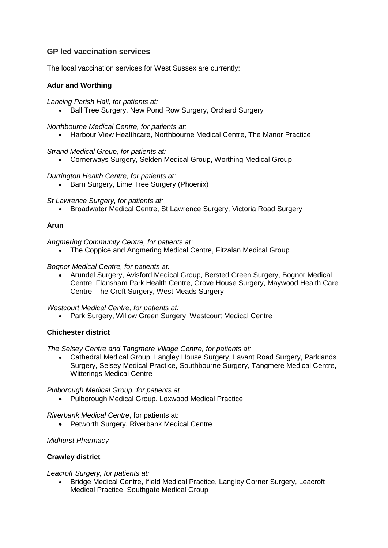#### **GP led vaccination services**

The local vaccination services for West Sussex are currently:

#### **Adur and Worthing**

*Lancing Parish Hall, for patients at:*

• Ball Tree Surgery, New Pond Row Surgery, Orchard Surgery

*Northbourne Medical Centre, for patients at:*

• Harbour View Healthcare, Northbourne Medical Centre, The Manor Practice

*Strand Medical Group, for patients at:*

Cornerways Surgery, Selden Medical Group, Worthing Medical Group

*Durrington Health Centre, for patients at:*

• Barn Surgery, Lime Tree Surgery (Phoenix)

*St Lawrence Surgery, for patients at:*

• Broadwater Medical Centre, St Lawrence Surgery, Victoria Road Surgery

#### **Arun**

*Angmering Community Centre, for patients at:*

The Coppice and Angmering Medical Centre, Fitzalan Medical Group

#### *Bognor Medical Centre, for patients at:*

 Arundel Surgery, Avisford Medical Group, Bersted Green Surgery, Bognor Medical Centre, Flansham Park Health Centre, Grove House Surgery, Maywood Health Care Centre, The Croft Surgery, West Meads Surgery

*Westcourt Medical Centre, for patients at:*

Park Surgery, Willow Green Surgery, Westcourt Medical Centre

#### **Chichester district**

*The Selsey Centre and Tangmere Village Centre, for patients at:*

 Cathedral Medical Group, Langley House Surgery, Lavant Road Surgery, Parklands Surgery, Selsey Medical Practice, Southbourne Surgery, Tangmere Medical Centre, Witterings Medical Centre

*Pulborough Medical Group, for patients at:*

Pulborough Medical Group, Loxwood Medical Practice

*Riverbank Medical Centre*, for patients at:

• Petworth Surgery, Riverbank Medical Centre

#### *Midhurst Pharmacy*

#### **Crawley district**

*Leacroft Surgery, for patients at:*

 Bridge Medical Centre, Ifield Medical Practice, Langley Corner Surgery, Leacroft Medical Practice, Southgate Medical Group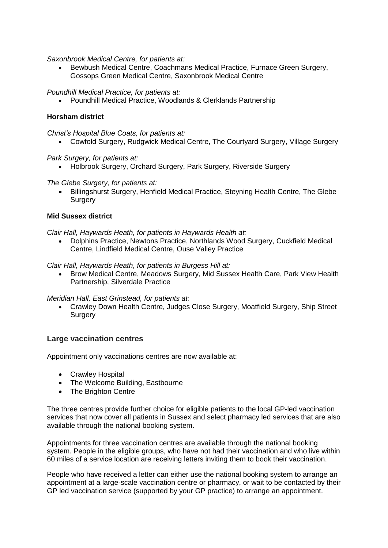*Saxonbrook Medical Centre, for patients at:*

 Bewbush Medical Centre, Coachmans Medical Practice, Furnace Green Surgery, Gossops Green Medical Centre, Saxonbrook Medical Centre

*Poundhill Medical Practice, for patients at:*

Poundhill Medical Practice, Woodlands & Clerklands Partnership

#### **Horsham district**

*Christ's Hospital Blue Coats, for patients at:*

Cowfold Surgery, Rudgwick Medical Centre, The Courtyard Surgery, Village Surgery

*Park Surgery, for patients at:*

Holbrook Surgery, Orchard Surgery, Park Surgery, Riverside Surgery

*The Glebe Surgery, for patients at:*

 Billingshurst Surgery, Henfield Medical Practice, Steyning Health Centre, The Glebe **Surgery** 

#### **Mid Sussex district**

*Clair Hall, Haywards Heath, for patients in Haywards Health at:*

 Dolphins Practice, Newtons Practice, Northlands Wood Surgery, Cuckfield Medical Centre, Lindfield Medical Centre, Ouse Valley Practice

*Clair Hall, Haywards Heath, for patients in Burgess Hill at:*

 Brow Medical Centre, Meadows Surgery, Mid Sussex Health Care, Park View Health Partnership, Silverdale Practice

*Meridian Hall, East Grinstead, for patients at:*

 Crawley Down Health Centre, Judges Close Surgery, Moatfield Surgery, Ship Street **Surgery** 

#### **Large vaccination centres**

Appointment only vaccinations centres are now available at:

- Crawley Hospital
- The Welcome Building, Eastbourne
- The Brighton Centre

The three centres provide further choice for eligible patients to the local GP-led vaccination services that now cover all patients in Sussex and select pharmacy led services that are also available through the national booking system.

Appointments for three vaccination centres are available through the national booking system. People in the eligible groups, who have not had their vaccination and who live within 60 miles of a service location are receiving letters inviting them to book their vaccination.

People who have received a letter can either use the national booking system to arrange an appointment at a large-scale vaccination centre or pharmacy, or wait to be contacted by their GP led vaccination service (supported by your GP practice) to arrange an appointment.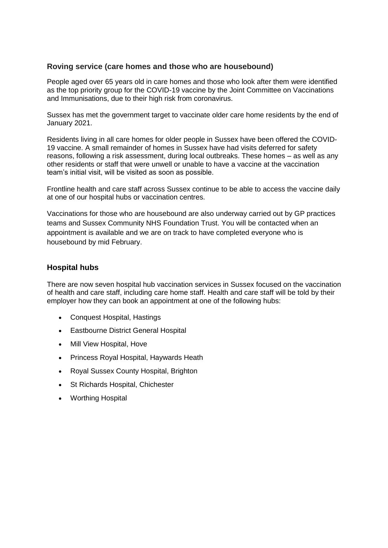#### **Roving service (care homes and those who are housebound)**

People aged over 65 years old in care homes and those who look after them were identified as the top priority group for the COVID-19 vaccine by the Joint Committee on Vaccinations and Immunisations, due to their high risk from coronavirus.

Sussex has met the government target to vaccinate older care home residents by the end of January 2021.

Residents living in all care homes for older people in Sussex have been offered the COVID-19 vaccine. A small remainder of homes in Sussex have had visits deferred for safety reasons, following a risk assessment, during local outbreaks. These homes – as well as any other residents or staff that were unwell or unable to have a vaccine at the vaccination team's initial visit, will be visited as soon as possible.

Frontline health and care staff across Sussex continue to be able to access the vaccine daily at one of our hospital hubs or vaccination centres.

Vaccinations for those who are housebound are also underway carried out by GP practices teams and Sussex Community NHS Foundation Trust. You will be contacted when an appointment is available and we are on track to have completed everyone who is housebound by mid February.

#### **Hospital hubs**

There are now seven hospital hub vaccination services in Sussex focused on the vaccination of health and care staff, including care home staff. Health and care staff will be told by their employer how they can book an appointment at one of the following hubs:

- [Conquest Hospital,](https://www.esht.nhs.uk/conquest-hospital/) Hastings
- [Eastbourne District General Hospital](https://www.esht.nhs.uk/eastbourne-dgh/)
- [Mill View Hospital,](https://www.sussexpartnership.nhs.uk/location-mill-view-hospital) Hove
- [Princess Royal Hospital,](https://www.bsuh.nhs.uk/hospitals/princess-royal-hospital/) Haywards Heath
- [Royal Sussex County Hospital,](http://www.bsuh.nhs.uk/hospitals/royal-sussex-county-hospital/) Brighton
- [St Richards Hospital,](https://www.westernsussexhospitals.nhs.uk/our-hospitals/st-richards-hospital/) Chichester
- [Worthing Hospital](https://www.westernsussexhospitals.nhs.uk/)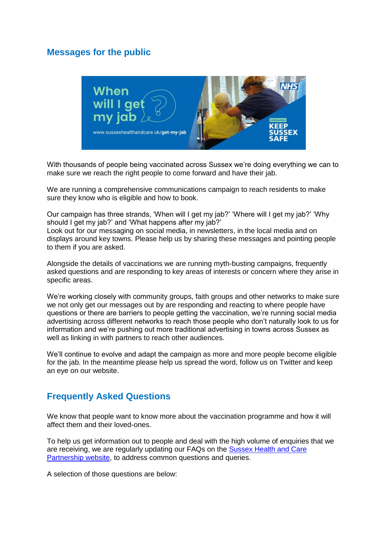## **Messages for the public**



With thousands of people being vaccinated across Sussex we're doing everything we can to make sure we reach the right people to come forward and have their jab.

We are running a comprehensive communications campaign to reach residents to make sure they know who is eligible and how to book.

Our campaign has three strands, 'When will I get my jab?' 'Where will I get my jab?' 'Why should I get my jab?' and 'What happens after my jab?' Look out for our messaging on social media, in newsletters, in the local media and on displays around key towns. Please help us by sharing these messages and pointing people to them if you are asked.

Alongside the details of vaccinations we are running myth-busting campaigns, frequently asked questions and are responding to key areas of interests or concern where they arise in specific areas.

We're working closely with community groups, faith groups and other networks to make sure we not only get our messages out by are responding and reacting to where people have questions or there are barriers to people getting the vaccination, we're running social media advertising across different networks to reach those people who don't naturally look to us for information and we're pushing out more traditional advertising in towns across Sussex as well as linking in with partners to reach other audiences.

We'll continue to evolve and adapt the campaign as more and more people become eligible for the jab. In the meantime please help us spread the word, follow us on Twitter and keep an eye on our website.

## **Frequently Asked Questions**

We know that people want to know more about the vaccination programme and how it will affect them and their loved-ones.

To help us get information out to people and deal with the high volume of enquiries that we are receiving, we are regularly updating our FAQs on the [Sussex Health and Care](https://www.sussexhealthandcare.uk/keepsussexsafe/sussex-covid-19-vaccination-programme/)  [Partnership website,](https://www.sussexhealthandcare.uk/keepsussexsafe/sussex-covid-19-vaccination-programme/) to address common questions and queries.

A selection of those questions are below: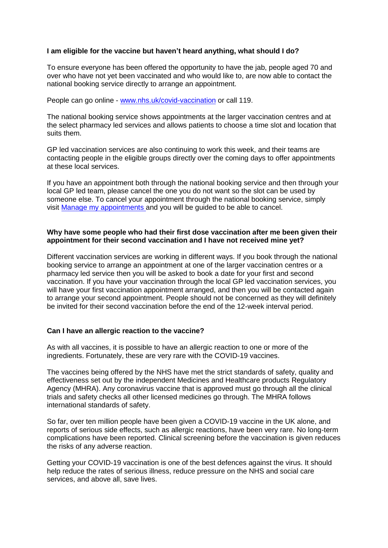#### **I am eligible for the vaccine but haven't heard anything, what should I do?**

To ensure everyone has been offered the opportunity to have the jab, people aged 70 and over who have not yet been vaccinated and who would like to, are now able to contact the national booking service directly to arrange an appointment.

People can go online - [www.nhs.uk/covid-vaccination](https://nhs.us1.list-manage.com/track/click?u=67cdbb5ca0543e61649bd4734&id=a02276daa1&e=89726a9e92) or call 119.

The national booking service shows appointments at the larger vaccination centres and at the select pharmacy led services and allows patients to choose a time slot and location that suits them.

GP led vaccination services are also continuing to work this week, and their teams are contacting people in the eligible groups directly over the coming days to offer appointments at these local services.

If you have an appointment both through the national booking service and then through your local GP led team, please cancel the one you do not want so the slot can be used by someone else. To cancel your appointment through the national booking service, simply visit [Manage my appointments](https://nhs.us1.list-manage.com/track/click?u=67cdbb5ca0543e61649bd4734&id=7df4b36e43&e=89726a9e92) and you will be guided to be able to cancel.

#### **Why have some people who had their first dose vaccination after me been given their appointment for their second vaccination and I have not received mine yet?**

Different vaccination services are working in different ways. If you book through the national booking service to arrange an appointment at one of the larger vaccination centres or a pharmacy led service then you will be asked to book a date for your first and second vaccination. If you have your vaccination through the local GP led vaccination services, you will have your first vaccination appointment arranged, and then you will be contacted again to arrange your second appointment. People should not be concerned as they will definitely be invited for their second vaccination before the end of the 12-week interval period.

#### **Can I have an allergic reaction to the vaccine?**

As with all vaccines, it is possible to have an allergic reaction to one or more of the ingredients. Fortunately, these are very rare with the COVID-19 vaccines.

The vaccines being offered by the NHS have met the strict standards of safety, quality and effectiveness set out by the independent Medicines and Healthcare products Regulatory Agency (MHRA). Any coronavirus vaccine that is approved must go through all the clinical trials and safety checks all other licensed medicines go through. The MHRA follows international standards of safety.

So far, over ten million people have been given a COVID-19 vaccine in the UK alone, and reports of serious side effects, such as allergic reactions, have been very rare. No long-term complications have been reported. Clinical screening before the vaccination is given reduces the risks of any adverse reaction.

Getting your COVID-19 vaccination is one of the best defences against the virus. It should help reduce the rates of serious illness, reduce pressure on the NHS and social care services, and above all, save lives.